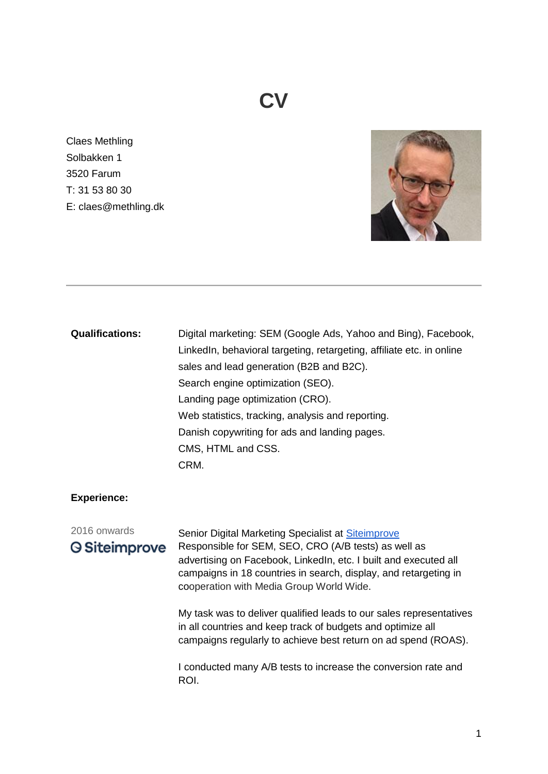## **CV**

Claes Methling Solbakken 1 3520 Farum T: 31 53 80 30 E: claes@methling.dk



#### **Qualifications:**

Digital marketing: SEM (Google Ads, Yahoo and Bing), Facebook, LinkedIn, behavioral targeting, retargeting, affiliate etc. in online sales and lead generation (B2B and B2C). Search engine optimization (SEO). Landing page optimization (CRO). Web statistics, tracking, analysis and reporting. Danish copywriting for ads and landing pages. CMS, HTML and CSS. CRM.

#### **Experience:**

## 2016 onwards

### **Siteimprove**

Senior Digital Marketing Specialist at [Siteimprove](https://siteimprove.com/en/) Responsible for SEM, SEO, CRO (A/B tests) as well as advertising on Facebook, LinkedIn, etc. I built and executed all campaigns in 18 countries in search, display, and retargeting in cooperation with Media Group World Wide.

My task was to deliver qualified leads to our sales representatives in all countries and keep track of budgets and optimize all campaigns regularly to achieve best return on ad spend (ROAS).

I conducted many A/B tests to increase the conversion rate and ROI.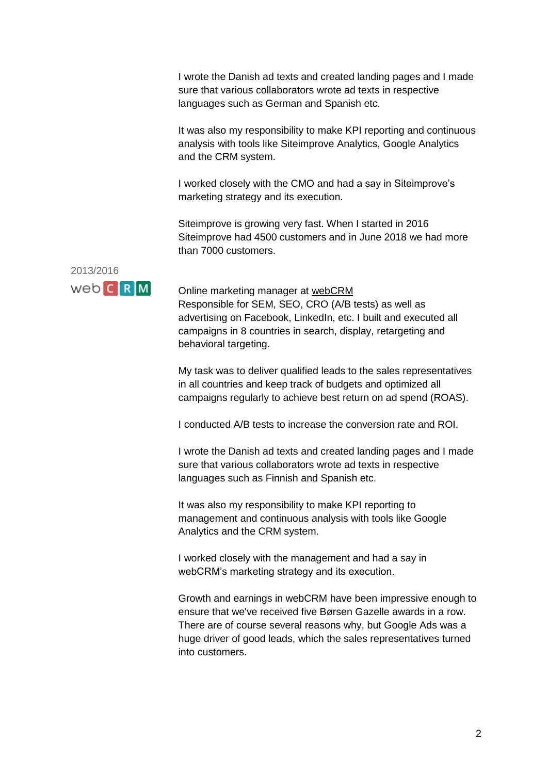I wrote the Danish ad texts and created landing pages and I made sure that various collaborators wrote ad texts in respective languages such as German and Spanish etc.

It was also my responsibility to make KPI reporting and continuous analysis with tools like Siteimprove Analytics, Google Analytics and the CRM system.

I worked closely with the CMO and had a say in Siteimprove's marketing strategy and its execution.

Siteimprove is growing very fast. When I started in 2016 Siteimprove had 4500 customers and in June 2018 we had more than 7000 customers.



Online marketing manager at [webCRM](https://webcrm.com/uk) Responsible for SEM, SEO, CRO (A/B tests) as well as advertising on Facebook, LinkedIn, etc. I built and executed all campaigns in 8 countries in search, display, retargeting and behavioral targeting.

My task was to deliver qualified leads to the sales representatives in all countries and keep track of budgets and optimized all campaigns regularly to achieve best return on ad spend (ROAS).

I conducted A/B tests to increase the conversion rate and ROI.

I wrote the Danish ad texts and created landing pages and I made sure that various collaborators wrote ad texts in respective languages such as Finnish and Spanish etc.

It was also my responsibility to make KPI reporting to management and continuous analysis with tools like Google Analytics and the CRM system.

I worked closely with the management and had a say in webCRM's marketing strategy and its execution.

Growth and earnings in webCRM have been impressive enough to ensure that we've received five Børsen Gazelle awards in a row. There are of course several reasons why, but Google Ads was a huge driver of good leads, which the sales representatives turned into customers.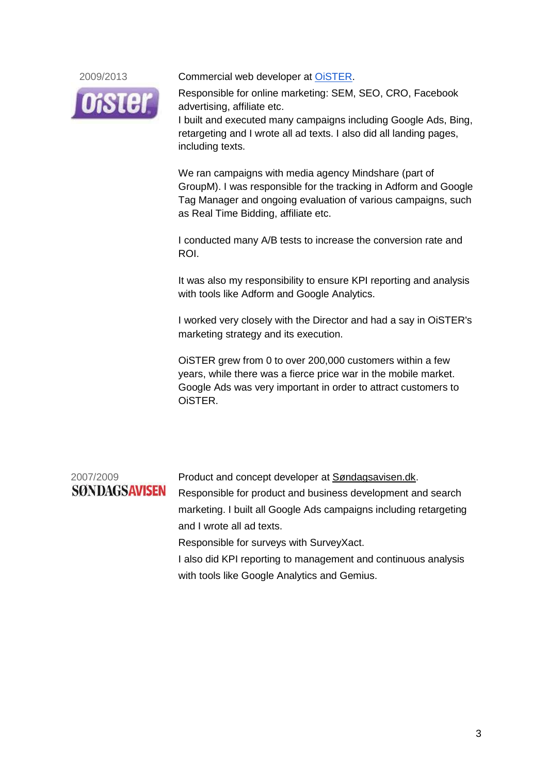

2009/2013 Commercial web developer at [OiSTER.](https://www.oister.dk/)

Responsible for online marketing: SEM, SEO, CRO, Facebook advertising, affiliate etc. I built and executed many campaigns including Google Ads, Bing, retargeting and I wrote all ad texts. I also did all landing pages, including texts.

We ran campaigns with media agency Mindshare (part of GroupM). I was responsible for the tracking in Adform and Google Tag Manager and ongoing evaluation of various campaigns, such as Real Time Bidding, affiliate etc.

I conducted many A/B tests to increase the conversion rate and ROI.

It was also my responsibility to ensure KPI reporting and analysis with tools like Adform and Google Analytics.

I worked very closely with the Director and had a say in OiSTER's marketing strategy and its execution.

OiSTER grew from 0 to over 200,000 customers within a few years, while there was a fierce price war in the mobile market. Google Ads was very important in order to attract customers to OiSTER.

# **SØNDAGSAVISEN**

2007/2009 Product and concept developer at **Søndagsavisen.dk.** Responsible for product and business development and search marketing. I built all Google Ads campaigns including retargeting and I wrote all ad texts. Responsible for surveys with SurveyXact.

> I also did KPI reporting to management and continuous analysis with tools like Google Analytics and Gemius.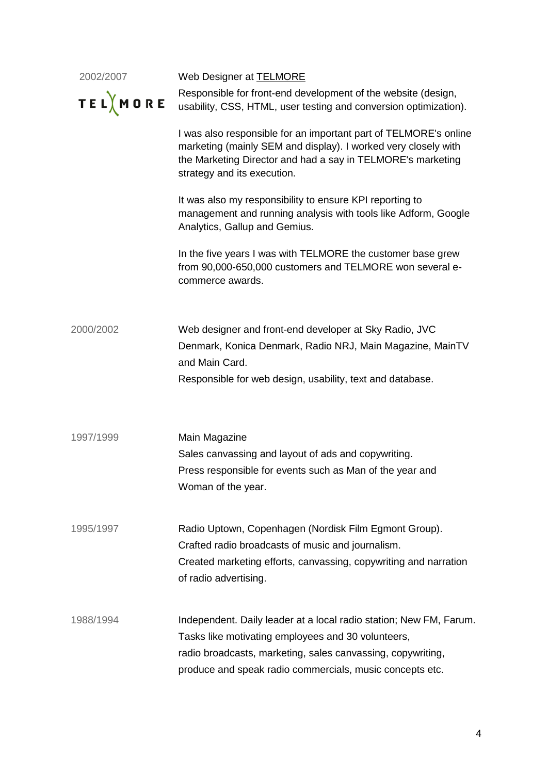| 2002/2007<br><b>TEL</b> MORE | Web Designer at TELMORE<br>Responsible for front-end development of the website (design,<br>usability, CSS, HTML, user testing and conversion optimization).                                                                                        |
|------------------------------|-----------------------------------------------------------------------------------------------------------------------------------------------------------------------------------------------------------------------------------------------------|
|                              | I was also responsible for an important part of TELMORE's online<br>marketing (mainly SEM and display). I worked very closely with<br>the Marketing Director and had a say in TELMORE's marketing<br>strategy and its execution.                    |
|                              | It was also my responsibility to ensure KPI reporting to<br>management and running analysis with tools like Adform, Google<br>Analytics, Gallup and Gemius.                                                                                         |
|                              | In the five years I was with TELMORE the customer base grew<br>from 90,000-650,000 customers and TELMORE won several e-<br>commerce awards.                                                                                                         |
| 2000/2002                    | Web designer and front-end developer at Sky Radio, JVC<br>Denmark, Konica Denmark, Radio NRJ, Main Magazine, MainTV<br>and Main Card.<br>Responsible for web design, usability, text and database.                                                  |
| 1997/1999                    | Main Magazine<br>Sales canvassing and layout of ads and copywriting.<br>Press responsible for events such as Man of the year and<br>Woman of the year.                                                                                              |
| 1995/1997                    | Radio Uptown, Copenhagen (Nordisk Film Egmont Group).<br>Crafted radio broadcasts of music and journalism.<br>Created marketing efforts, canvassing, copywriting and narration<br>of radio advertising.                                             |
| 1988/1994                    | Independent. Daily leader at a local radio station; New FM, Farum.<br>Tasks like motivating employees and 30 volunteers,<br>radio broadcasts, marketing, sales canvassing, copywriting,<br>produce and speak radio commercials, music concepts etc. |